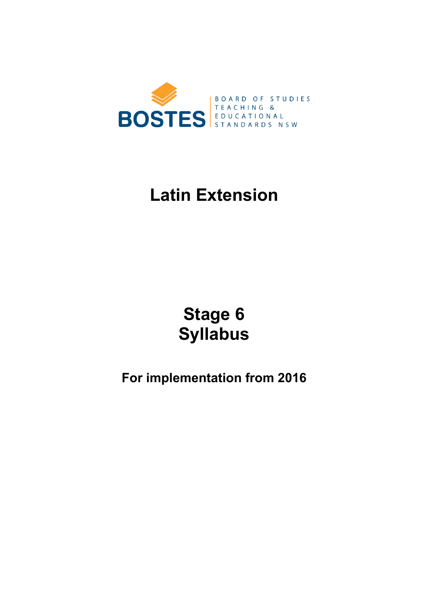

# **Latin Extension**

# **Stage 6 Syllabus**

## **For implementation from 2016**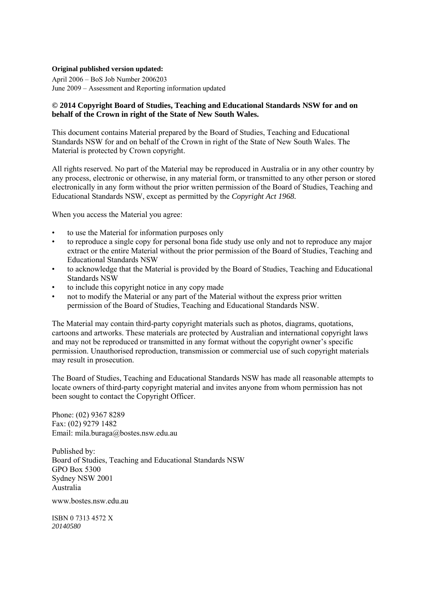### **Original published version updated:**

April 2006 – BoS Job Number 2006203 June 2009 – Assessment and Reporting information updated

### **© 2014 Copyright Board of Studies, Teaching and Educational Standards NSW for and on behalf of the Crown in right of the State of New South Wales.**

This document contains Material prepared by the Board of Studies, Teaching and Educational Standards NSW for and on behalf of the Crown in right of the State of New South Wales. The Material is protected by Crown copyright.

All rights reserved. No part of the Material may be reproduced in Australia or in any other country by any process, electronic or otherwise, in any material form, or transmitted to any other person or stored electronically in any form without the prior written permission of the Board of Studies, Teaching and Educational Standards NSW, except as permitted by the *Copyright Act 1968.*

When you access the Material you agree:

- to use the Material for information purposes only
- to reproduce a single copy for personal bona fide study use only and not to reproduce any major extract or the entire Material without the prior permission of the Board of Studies, Teaching and Educational Standards NSW
- to acknowledge that the Material is provided by the Board of Studies, Teaching and Educational Standards NSW
- to include this copyright notice in any copy made
- not to modify the Material or any part of the Material without the express prior written permission of the Board of Studies, Teaching and Educational Standards NSW.

The Material may contain third-party copyright materials such as photos, diagrams, quotations, cartoons and artworks. These materials are protected by Australian and international copyright laws and may not be reproduced or transmitted in any format without the copyright owner's specific permission. Unauthorised reproduction, transmission or commercial use of such copyright materials may result in prosecution.

The Board of Studies, Teaching and Educational Standards NSW has made all reasonable attempts to locate owners of third-party copyright material and invites anyone from whom permission has not been sought to contact the Copyright Officer.

Phone: (02) 9367 8289 Fax: (02) 9279 1482 Email: mila.buraga@bostes.nsw.edu.au

Published by: Board of Studies, Teaching and Educational Standards NSW GPO Box 5300 Sydney NSW 2001 Australia

www.bostes.nsw.edu.au

ISBN 0 7313 4572 X *20140580*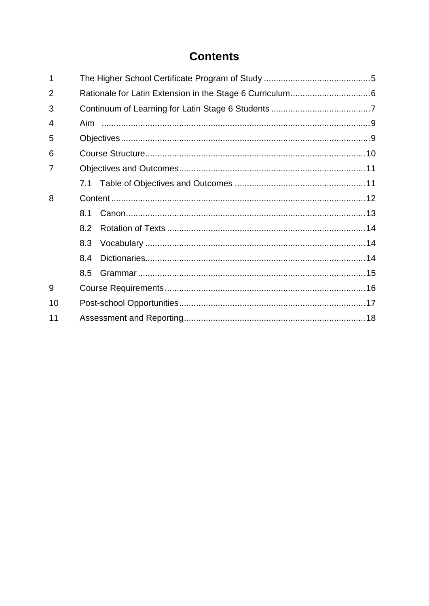## **Contents**

| 1              |     |  |  |  |
|----------------|-----|--|--|--|
| $\overline{2}$ |     |  |  |  |
| 3              |     |  |  |  |
| 4              |     |  |  |  |
| 5              |     |  |  |  |
| 6              |     |  |  |  |
| 7              |     |  |  |  |
|                |     |  |  |  |
| 8              |     |  |  |  |
|                | 8.1 |  |  |  |
|                | 8.2 |  |  |  |
|                | 8.3 |  |  |  |
|                | 8.4 |  |  |  |
|                | 8.5 |  |  |  |
| 9              |     |  |  |  |
| 10             |     |  |  |  |
| 11             |     |  |  |  |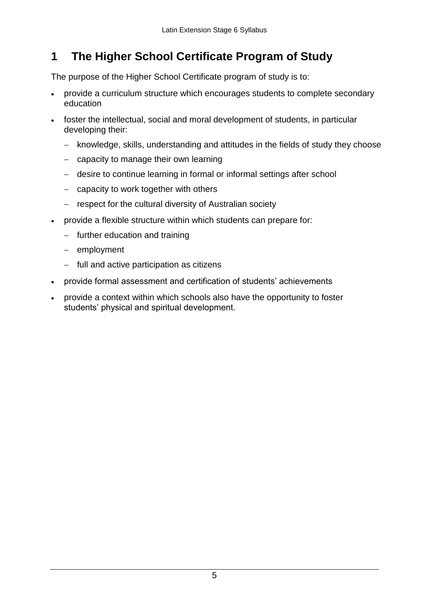#### <span id="page-4-0"></span>**1 The Higher School Certificate Program of Study**

The purpose of the Higher School Certificate program of study is to:

- provide a curriculum structure which encourages students to complete secondary education
- foster the intellectual, social and moral development of students, in particular developing their:
	- knowledge, skills, understanding and attitudes in the fields of study they choose
	- $-$  capacity to manage their own learning
	- desire to continue learning in formal or informal settings after school
	- $-$  capacity to work together with others
	- respect for the cultural diversity of Australian society
- provide a flexible structure within which students can prepare for:
	- $-$  further education and training
	- $-$  employment
	- $-$  full and active participation as citizens
- provide formal assessment and certification of students' achievements
- provide a context within which schools also have the opportunity to foster students' physical and spiritual development.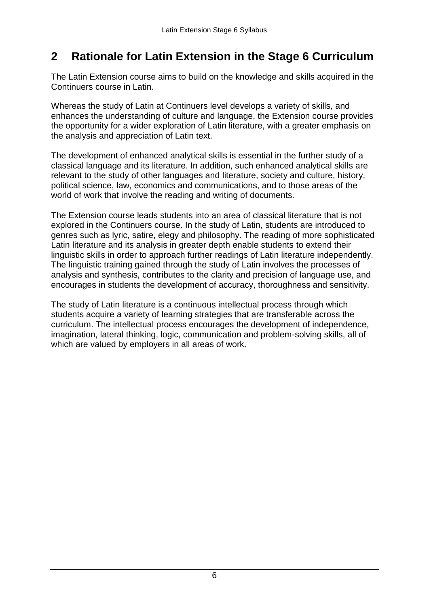#### <span id="page-5-0"></span>**2 Rationale for Latin Extension in the Stage 6 Curriculum**

 The Latin Extension course aims to build on the knowledge and skills acquired in the Continuers course in Latin.

 Whereas the study of Latin at Continuers level develops a variety of skills, and the opportunity for a wider exploration of Latin literature, with a greater emphasis on the analysis and appreciation of Latin text. enhances the understanding of culture and language, the Extension course provides

 The development of enhanced analytical skills is essential in the further study of a classical language and its literature. In addition, such enhanced analytical skills are relevant to the study of other languages and literature, society and culture, history, political science, law, economics and communications, and to those areas of the world of work that involve the reading and writing of documents.

 The Extension course leads students into an area of classical literature that is not explored in the Continuers course. In the study of Latin, students are introduced to genres such as lyric, satire, elegy and philosophy. The reading of more sophisticated Latin literature and its analysis in greater depth enable students to extend their linguistic skills in order to approach further readings of Latin literature independently. The linguistic training gained through the study of Latin involves the processes of analysis and synthesis, contributes to the clarity and precision of language use, and encourages in students the development of accuracy, thoroughness and sensitivity.

The study of Latin literature is a continuous intellectual process through which students acquire a variety of learning strategies that are transferable across the curriculum. The intellectual process encourages the development of independence, imagination, lateral thinking, logic, communication and problem-solving skills, all of which are valued by employers in all areas of work.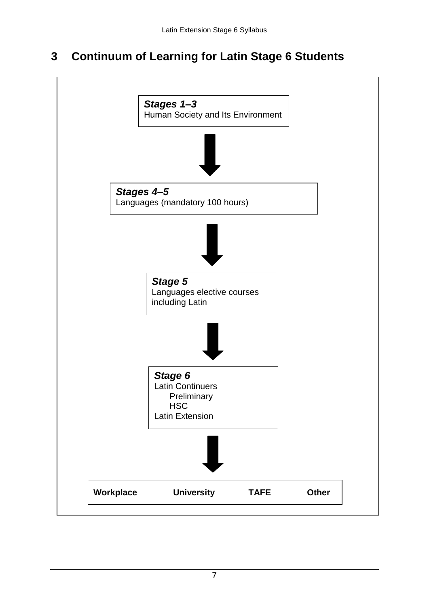#### <span id="page-6-0"></span>**3 Continuum of Learning for Latin Stage 6 Students**

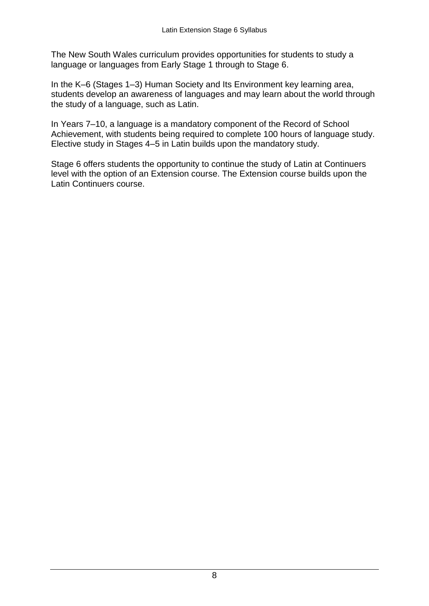language or languages from Early Stage 1 through to Stage 6. The New South Wales curriculum provides opportunities for students to study a

In the K–6 (Stages 1–3) Human Society and Its Environment key learning area, students develop an awareness of languages and may learn about the world through the study of a language, such as Latin.

In Years 7–10, a language is a mandatory component of the Record of School Achievement, with students being required to complete 100 hours of language study. Elective study in Stages 4–5 in Latin builds upon the mandatory study.

 Latin Continuers course. Stage 6 offers students the opportunity to continue the study of Latin at Continuers level with the option of an Extension course. The Extension course builds upon the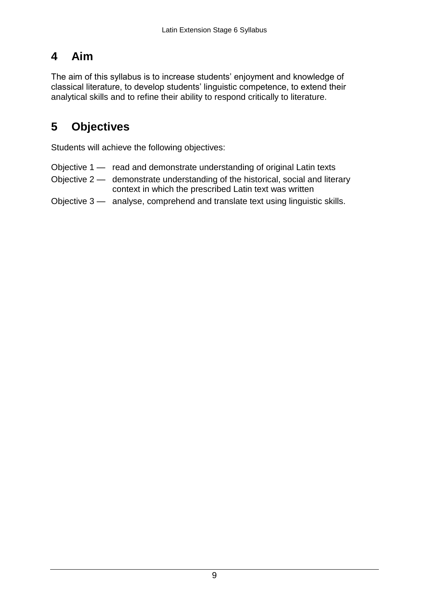## <span id="page-8-0"></span>**4 Aim**

 classical literature, to develop students' linguistic competence, to extend their analytical skills and to refine their ability to respond critically to literature. The aim of this syllabus is to increase students' enjoyment and knowledge of

## **5 Objectives**

Students will achieve the following objectives:

- Objective 1 read and demonstrate understanding of original Latin texts
- Objective 2 demonstrate understanding of the historical, social and literary context in which the prescribed Latin text was written
- Objective 3 analyse, comprehend and translate text using linguistic skills.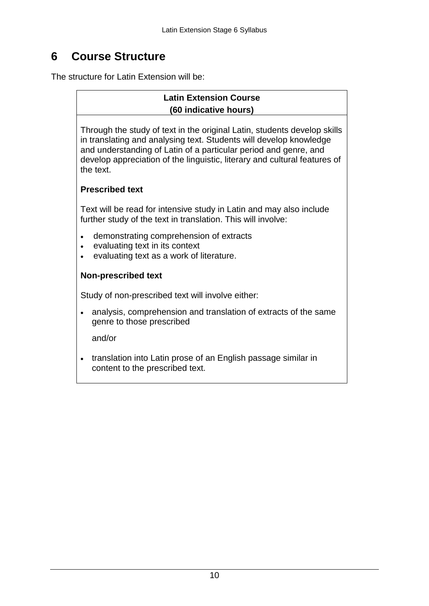#### **6 Course Structure**

The structure for Latin Extension will be:

### **Latin Extension Course (60 indicative hours)**

 and understanding of Latin of a particular period and genre, and develop appreciation of the linguistic, literary and cultural features of Through the study of text in the original Latin, students develop skills in translating and analysing text. Students will develop knowledge the text.

### **Prescribed text**

Text will be read for intensive study in Latin and may also include further study of the text in translation. This will involve:

- demonstrating comprehension of extracts
- evaluating text in its context
- evaluating text as a work of literature.

### **Non-prescribed text**

Study of non-prescribed text will involve either:

 analysis, comprehension and translation of extracts of the same genre to those prescribed

and/or

• translation into Latin prose of an English passage similar in content to the prescribed text.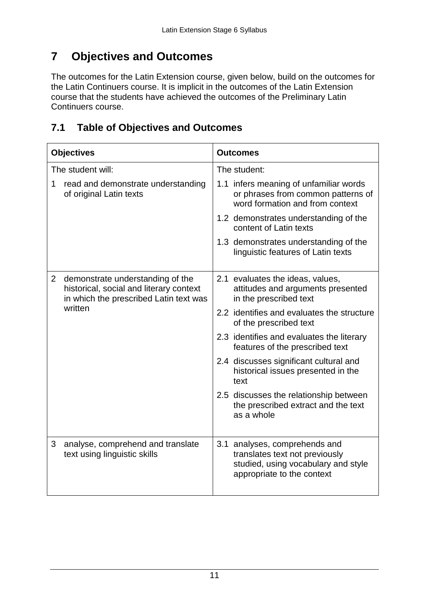#### **7 Objectives and Outcomes**

 The outcomes for the Latin Extension course, given below, build on the outcomes for the Latin Continuers course. It is implicit in the outcomes of the Latin Extension course that the students have achieved the outcomes of the Preliminary Latin Continuers course.

## **7.1 Table of Objectives and Outcomes**

| <b>Objectives</b> |                                                                                                                       | <b>Outcomes</b>                                                                                                                      |  |
|-------------------|-----------------------------------------------------------------------------------------------------------------------|--------------------------------------------------------------------------------------------------------------------------------------|--|
| The student will: |                                                                                                                       | The student:                                                                                                                         |  |
| 1                 | read and demonstrate understanding<br>of original Latin texts                                                         | 1.1 infers meaning of unfamiliar words<br>or phrases from common patterns of<br>word formation and from context                      |  |
|                   |                                                                                                                       | 1.2 demonstrates understanding of the<br>content of Latin texts                                                                      |  |
|                   |                                                                                                                       | 1.3 demonstrates understanding of the<br>linguistic features of Latin texts                                                          |  |
| $\overline{2}$    | demonstrate understanding of the<br>historical, social and literary context<br>in which the prescribed Latin text was | 2.1 evaluates the ideas, values,<br>attitudes and arguments presented<br>in the prescribed text                                      |  |
|                   | written                                                                                                               | 2.2 identifies and evaluates the structure<br>of the prescribed text                                                                 |  |
|                   |                                                                                                                       | 2.3 identifies and evaluates the literary<br>features of the prescribed text                                                         |  |
|                   |                                                                                                                       | 2.4 discusses significant cultural and<br>historical issues presented in the<br>text                                                 |  |
|                   |                                                                                                                       | 2.5 discusses the relationship between<br>the prescribed extract and the text<br>as a whole                                          |  |
| 3                 | analyse, comprehend and translate<br>text using linguistic skills                                                     | 3.1 analyses, comprehends and<br>translates text not previously<br>studied, using vocabulary and style<br>appropriate to the context |  |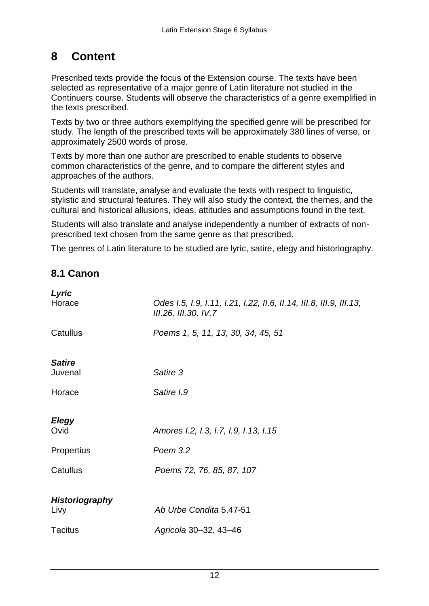#### **8 Content**

 selected as representative of a major genre of Latin literature not studied in the the texts prescribed. Prescribed texts provide the focus of the Extension course. The texts have been Continuers course. Students will observe the characteristics of a genre exemplified in

 approximately 2500 words of prose. Texts by two or three authors exemplifying the specified genre will be prescribed for study. The length of the prescribed texts will be approximately 380 lines of verse, or

Texts by more than one author are prescribed to enable students to observe common characteristics of the genre, and to compare the different styles and approaches of the authors.

 cultural and historical allusions, ideas, attitudes and assumptions found in the text. Students will translate, analyse and evaluate the texts with respect to linguistic, stylistic and structural features. They will also study the context, the themes, and the

Students will also translate and analyse independently a number of extracts of nonprescribed text chosen from the same genre as that prescribed.

The genres of Latin literature to be studied are lyric, satire, elegy and historiography.

## **8.1 Canon**

| Lyric<br>Horace       | Odes I.5, I.9, I.11, I.21, I.22, II.6, II.14, III.8, III.9, III.13,<br>III.26, III.30, IV.7 |
|-----------------------|---------------------------------------------------------------------------------------------|
| Catullus              | Poems 1, 5, 11, 13, 30, 34, 45, 51                                                          |
| <b>Satire</b>         |                                                                                             |
| Juvenal               | Satire 3                                                                                    |
| Horace                | Satire I.9                                                                                  |
|                       |                                                                                             |
| <b>Elegy</b>          |                                                                                             |
| Ovid                  | Amores I.2, I.3, I.7, I.9, I.13, I.15                                                       |
| Propertius            | Poem 3.2                                                                                    |
| Catullus              | Poems 72, 76, 85, 87, 107                                                                   |
|                       |                                                                                             |
| <b>Historiography</b> |                                                                                             |
| Livy                  | Ab Urbe Condita 5.47-51                                                                     |
| <b>Tacitus</b>        | Agricola 30-32, 43-46                                                                       |
|                       |                                                                                             |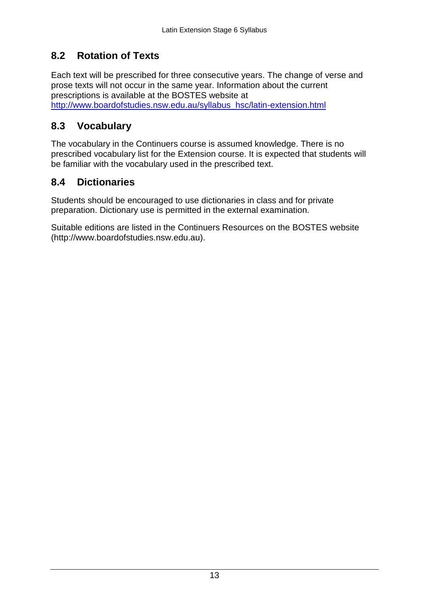#### <span id="page-12-0"></span> **8.2 Rotation of Texts**

Each text will be prescribed for three consecutive years. The change of verse and prose texts will not occur in the same year. Information about the current prescriptions is available at the BOSTES website at [http://www.boardofstudies.nsw.edu.au/syllabus\\_hsc/latin-extension.html](http://www.boardofstudies.nsw.edu.au/syllabus_hsc/latin-extension.html)

## **8.3 Vocabulary**

 be familiar with the vocabulary used in the prescribed text. The vocabulary in the Continuers course is assumed knowledge. There is no prescribed vocabulary list for the Extension course. It is expected that students will

### **8.4 Dictionaries**

 Students should be encouraged to use dictionaries in class and for private preparation. Dictionary use is permitted in the external examination.

 Suitable editions are listed in the Continuers Resources on the BOSTES website (http://www.boardofstudies.nsw.edu.au).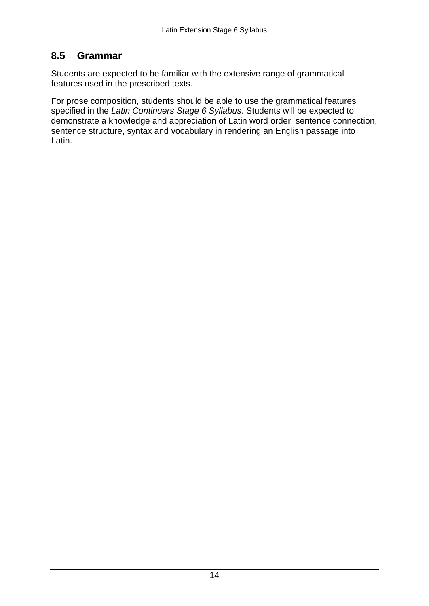## <span id="page-13-0"></span>**8.5 Grammar**

Students are expected to be familiar with the extensive range of grammatical features used in the prescribed texts.

 For prose composition, students should be able to use the grammatical features specified in the *Latin Continuers Stage 6 Syllabus*. Students will be expected to demonstrate a knowledge and appreciation of Latin word order, sentence connection, sentence structure, syntax and vocabulary in rendering an English passage into Latin.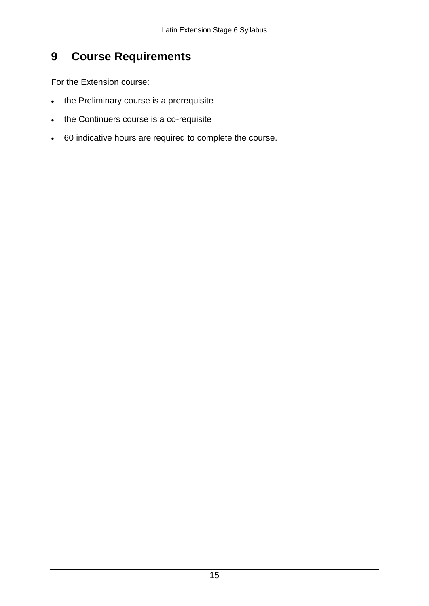#### <span id="page-14-0"></span>**9 Course Requirements**

For the Extension course:

- the Preliminary course is a prerequisite
- the Continuers course is a co-requisite
- 60 indicative hours are required to complete the course.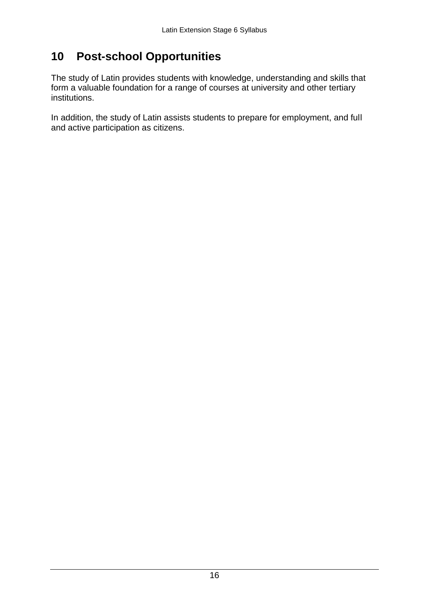## <span id="page-15-0"></span>**10 Post-school Opportunities**

The study of Latin provides students with knowledge, understanding and skills that form a valuable foundation for a range of courses at university and other tertiary institutions.

In addition, the study of Latin assists students to prepare for employment, and full and active participation as citizens.